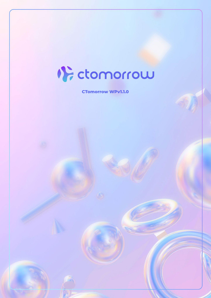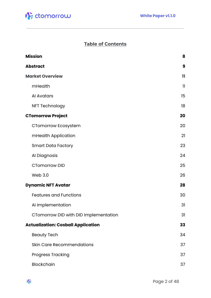

### **Table of Contents**

| <b>Mission</b>                            |              |
|-------------------------------------------|--------------|
| <b>Abstract</b>                           | 9            |
| <b>Market Overview</b>                    | $\mathbf{1}$ |
| mHealth                                   | 11           |
| Al Avatars                                | 15           |
| <b>NFT Technology</b>                     | 18           |
| <b>CTomorrow Project</b>                  | 20           |
| CTomorrow Ecosystem                       | 20           |
| mHealth Application                       | 21           |
| <b>Smart Data Factory</b>                 | 23           |
| Al Diagnosis                              | 24           |
| <b>CTomorrow DID</b>                      | 25           |
| <b>Web 3.0</b>                            | 26           |
| <b>Dynamic NFT Avatar</b>                 | 28           |
| <b>Features and Functions</b>             | 30           |
| Al Implementation                         | 31           |
| CTomorrow DID with DID Implementation     | 31           |
| <b>Actualization: Cosball Application</b> | 33           |
| <b>Beauty Tech</b>                        | 34           |
| <b>Skin Care Recommendations</b>          | 37           |
| <b>Progress Tracking</b>                  | 37           |
| Blockchain                                | 37           |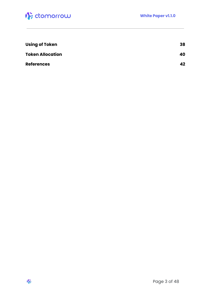

| <b>Using of Token</b>   | 38 |
|-------------------------|----|
| <b>Token Allocation</b> | 40 |
| <b>References</b>       | 42 |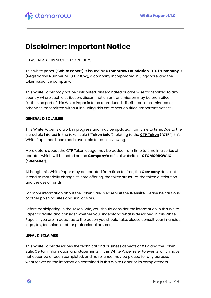

## **Disclaimer: Important Notice**

PLEASE READ THIS SECTION CAREFULLY.

This white paper ("**White Paper**") is issued by **CTomorrow Foundation LTD.** ("**Company**"), (Registration Number: 201837208W), a company incorporated in Singapore, and the token issuance company.

This White Paper may not be distributed, disseminated or otherwise transmitted to any country where such distribution, dissemination or transmission may be prohibited. Further, no part of this White Paper is to be reproduced, distributed, disseminated or otherwise transmitted without including this entire section titled "Important Notice".

#### **GENERAL DISCLAIMER**

This White Paper is a work in progress and may be updated from time to time. Due to the incredible interest in the token sale ("**Token Sale**") relating to the **CTP Token** ("**CTP**"), this White Paper has been made available for public viewing.

More details about the CTP Token usage may be added from time to time in a series of updates which will be noted on the **Company's** official website at **CTOMORROW.IO** ("**Website**").

Although this White Paper may be updated from time to time, the **Company** does not intend to materially change its core offering, the token structure, the token distribution, and the use of funds.

For more information about the Token Sale, please visit the **Website**. Please be cautious of other phishing sites and similar sites.

Before participating in the Token Sale, you should consider the information in this White Paper carefully, and consider whether you understand what is described in this White Paper. If you are in doubt as to the action you should take, please consult your financial, legal, tax, technical or other professional advisers.

#### **LEGAL DISCLAIMER**

This White Paper describes the technical and business aspects of **CTP**, and the Token Sale. Certain information and statements in this White Paper refer to events which have not occurred or been completed, and no reliance may be placed for any purpose whatsoever on the information contained in this White Paper or its completeness.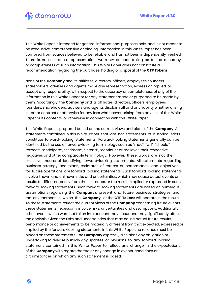

This White Paper is intended for general informational purposes only, and is not meant to be exhaustive, comprehensive or binding. Information in this White Paper has been compiled from sources believed to be reliable, and has not been independently verified. There is no assurance, representation, warranty or undertaking as to the accuracy or completeness of such information. This White Paper does not constitute a recommendation regarding the purchase, holding or disposal of the **CTP Tokens**.

None of the **Company** and its affiliates, directors, officers, employees, founders, shareholders, advisers and agents make any representation, express or implied, or accept any responsibility, with respect to the accuracy or completeness of any of the information in this White Paper or for any statement made or purported to be made by them. Accordingly, the **Company** and its affiliates, directors, officers, employees, founders, shareholders, advisers and agents disclaim all and any liability whether arising in tort or contract or otherwise for any loss whatsoever arising from any use of this White Paper or its contents, or otherwise in connection with this White Paper.

This White Paper is prepared based on the current views and plans of the **Company**. All statements contained in this White Paper that are not statements of historical facts constitute forward-looking statements. Forward-looking statements generally can be identified by the use of forward-looking terminology such as "may", "will", "should", "expect", "anticipate", "estimate", "intend", "continue" or "believe", their respective negatives and other comparable terminology. However, these words are not the exclusive means of identifying forward-looking statements. All statements regarding business strategy and plans, estimates of returns or performance, and objectives for future operations, are forward-looking statements. Such forward-looking statements involve known and unknown risks and uncertainties, which may cause actual events or results to differ materially from the estimates, or the results implied or expressed in such forward-looking statements. Such forward-looking statements are based on numerous assumptions regarding the **Company**'s present and future business strategies and the environment in which the **Company**, or the **CTP Tokens** will operate in the future. As these statements reflect the current views of the **Company** concerning future events, these statements necessarily involve risks, uncertainties and assumptions. Additionally, other events which were not taken into account may occur and may significantly affect the analysis. Given the risks and uncertainties that may cause actual future results, performance or achievements to be materially different from that expected, expressed or implied by the forward-looking statements in this White Paper, no reliance must be placed on these statements. The **Company** expressly disclaims any obligation or undertaking to release publicly any updates or revisions to any forward-looking statement contained in this White Paper to reflect any change in the expectations of the **Company** with regard thereto or any change in events, conditions or circumstances on which any such statement is based.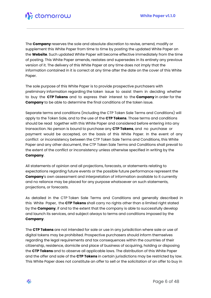I<sup>1</sup>€ ctomorrow

The **Company** reserves the sole and absolute discretion to revise, amend, modify or supplement this White Paper from time to time by posting the updated White Paper on the **Website**. Such updated White Paper will become effective immediately from the time of posting. This White Paper amends, restates and supersedes in its entirety any previous version of it. The delivery of this White Paper at any time does not imply that the information contained in it is correct at any time after the date on the cover of this White Paper.

The sole purpose of this White Paper is to provide prospective purchasers with preliminary information regarding the token issue to assist them in deciding whether to buy the **CTP Tokens** and to express their interest to the **Company** in order for the **Company** to be able to determine the final conditions of the token issue.

Separate terms and conditions (including the CTP Token Sale Terms and Conditions) will apply to the Token Sale, and to the use of the **CTP Tokens**. Those terms and conditions should be read together with this White Paper and considered before entering into any transaction. No person is bound to purchase any **CTP Tokens**, and no purchase or payment would be accepted, on the basis of this White Paper. In the event of any conflict or inconsistency between the CTP Token Sale Terms and Conditions, this White Paper and any other document, the CTP Token Sale Terms and Conditions shall prevail to the extent of the conflict or inconsistency unless otherwise specified in writing by the **Company**.

All statements of opinion and all projections, forecasts, or statements relating to expectations regarding future events or the possible future performance represent the **Company**'s own assessment and interpretation of information available to it currently and no reliance may be placed for any purpose whatsoever on such statements, projections, or forecasts.

As detailed in the CTP Token Sale Terms and Conditions and generally described in this White Paper, the **CTP Tokens** shall carry no rights other than a limited right stated by the **Company**, if and to the extent that the company is able to successfully develop and launch its services, and subject always to terms and conditions imposed by the **Company**.

The **CTP Tokens** are not intended for sale or use in any jurisdiction where sale or use of digital tokens may be prohibited. Prospective purchasers should inform themselves regarding the legal requirements and tax consequences within the countries of their citizenship, residence, domicile and place of business of acquiring, holding or disposing the **CTP Tokens** and to observe all applicable laws. The distribution of this White Paper and the offer and sale of the **CTP Tokens** in certain jurisdictions may be restricted by law. This White Paper does not constitute an offer to sell or the solicitation of an offer to buy in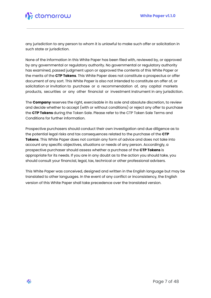any jurisdiction to any person to whom it is unlawful to make such offer or solicitation in such state or jurisdiction.

None of the information in this White Paper has been filed with, reviewed by, or approved by any governmental or regulatory authority. No governmental or regulatory authority has examined, passed judgment upon or approved the contents of this White Paper or the merits of the **CTP Tokens**. This White Paper does not constitute a prospectus or offer document of any sort. This White Paper is also not intended to constitute an offer of, or solicitation or invitation to purchase or a recommendation of, any capital markets products, securities or any other financial or investment instrument in any jurisdiction.

The **Company** reserves the right, exercisable in its sole and absolute discretion, to review and decide whether to accept (with or without conditions) or reject any offer to purchase the **CTP Tokens** during the Token Sale. Please refer to the CTP Token Sale Terms and Conditions for further information.

Prospective purchasers should conduct their own investigation and due diligence as to the potential legal risks and tax consequences related to the purchase of the **CTP Tokens**. This White Paper does not contain any form of advice and does not take into account any specific objectives, situations or needs of any person. Accordingly, a prospective purchaser should assess whether a purchase of the **CTP Tokens** is appropriate for its needs. If you are in any doubt as to the action you should take, you should consult your financial, legal, tax, technical or other professional advisers.

This White Paper was conceived, designed and written in the English language but may be translated to other languages. In the event of any conflict or inconsistency, the English version of this White Paper shall take precedence over the translated version.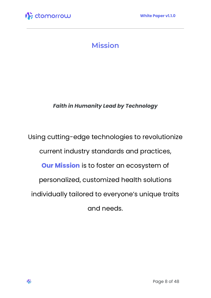<span id="page-7-0"></span>

# **Mission**

*Faith in Humanity Lead by Technology*

Using cutting-edge technologies to revolutionize current industry standards and practices, **Our Mission** is to foster an ecosystem of personalized, customized health solutions individually tailored to everyone's unique traits and needs.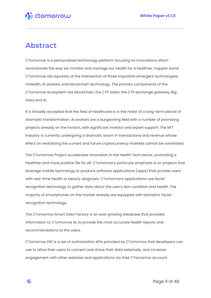## <span id="page-8-0"></span>**Abstract**

CTomorrow is a personalized technology platform focusing on innovations which revolutionize the way we monitor and manage our health for a healthier, happier world. CTomorrow sits squarely at the intersection of three important emergent technologies: mHealth, AI avatars, and blockchain technology. The primary components of the CTomorrow ecosystem are blockchain, the CTP token, the CTP exchange gateway, Big Data and AI.

It is broadly accepted that the field of healthcare is in the midst of a long-term period of dramatic transformation. AI avatars are a burgeoning field with a number of promising projects already on the horizon, with significant investor and expert support. The NFT industry is currently undergoing a dramatic boom in transactions and revenue whose effect on revitalizing the current and future cryptocurrency markets cannot be overstated.

The CTomorrow Project accelerates innovation in the Health Tech sector, promoting a healthier and more positive life for all. CTomorrow's particular emphasis is on projects that leverage mobile technology to produce software applications (apps) that provide users with real-time health or beauty diagnosis. CTomorrow's applications use facial recognition technology to gather data about the user's skin condition and health. The majority of smartphones on the market already are equipped with biometric facial recognition technology.

The CTomorrow Smart Data Factory is an ever growing database that provides information to CTomorrow AI, to provide the most accurate health reports and recommendations to the users.

CTomorrow DID is a set of authorization APIs provided by CTomorrow that developers can use to allow their users to connect and share their data externally, and increase engagement with other websites and applications via their CTomorrow account.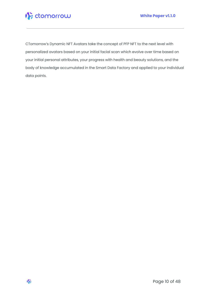

CTomorrow's Dynamic NFT Avatars take the concept of PFP NFT to the next level with personalized avatars based on your initial facial scan which evolve over time based on your initial personal attributes, your progress with health and beauty solutions, and the body of knowledge accumulated in the Smart Data Factory and applied to your individual data points.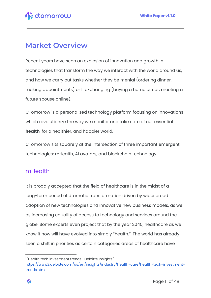# <span id="page-10-0"></span>**Market Overview**

Recent years have seen an explosion of innovation and growth in technologies that transform the way we interact with the world around us, and how we carry out tasks whether they be menial (ordering dinner, making appointments) or life-changing (buying a home or car, meeting a future spouse online).

CTomorrow is a personalized technology platform focusing on innovations which revolutionize the way we monitor and take care of our essential **health**, for a healthier, and happier world.

CTomorrow sits squarely at the intersection of three important emergent technologies: mHealth, AI avatars, and blockchain technology.

### <span id="page-10-1"></span>mHealth

It is broadly accepted that the field of healthcare is in the midst of a long-term period of dramatic transformation driven by widespread adoption of new technologies and innovative new business models, as well as increasing equality of access to technology and services around the globe. Some experts even project that by the year 2040, healthcare as we know it now will have evolved into simply "health." <sup>1</sup> The world has already seen a shift in priorities as certain categories areas of healthcare have

<sup>1</sup> "Health tech investment trends | Deloitte Insights."

[https://www2.deloitte.com/us/en/insights/industry/health-care/health-tech-investment](https://www2.deloitte.com/us/en/insights/industry/health-care/health-tech-investment-trends.html)[trends.html.](https://www2.deloitte.com/us/en/insights/industry/health-care/health-tech-investment-trends.html)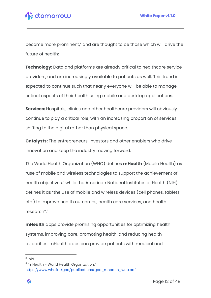become more prominent, $^2$  and are thought to be those which will drive the future of health:

**Technology:** Data and platforms are already critical to healthcare service providers, and are increasingly available to patients as well. This trend is expected to continue such that nearly everyone will be able to manage critical aspects of their health using mobile and desktop applications.

**Services:** Hospitals, clinics and other healthcare providers will obviously continue to play a critical role, with an increasing proportion of services shifting to the digital rather than physical space.

**Catalysts:** The entrepreneurs, investors and other enablers who drive innovation and keep the industry moving forward.

The World Health Organization (WHO) defines **mHealth** (Mobile Health) as "use of mobile and wireless technologies to support the achievement of health objectives," while the American National Institutes of Health (NIH) defines it as "the use of mobile and wireless devices (cell phones, tablets, etc.) to improve health outcomes, health care services, and health research". 3

**mHealth** apps provide promising opportunities for optimizing health systems, improving care, promoting health, and reducing health disparities. mHealth apps can provide patients with medical and

<sup>&</sup>lt;sup>2</sup> ibid

 $3$  "mHealth - World Health Organization." [https://www.who.int/goe/publications/goe\\_mhealth\\_web.pdf](https://www.who.int/goe/publications/goe_mhealth_web.pdf).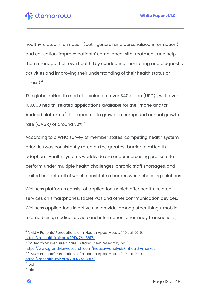health-related information (both general and personalized information) and education, improve patients' compliance with treatment, and help them manage their own health (by conducting monitoring and diagnostic activities and improving their understanding of their health status or illness). $^4$ 

The global mHealth market is valued at over \$40 billion  ${\rm (USD)^5}$ , with over 100,000 health-related applications available for the iPhone and/or Android platforms.<sup>6</sup> It is expected to grow at a compound annual growth rate (CAGR) of around 30%. 7

According to a WHO survey of member states, competing health system priorities was consistently rated as the greatest barrier to mHealth adoption.<sup>8</sup> Health systems worldwide are under increasing pressure to perform under multiple health challenges, chronic staff shortages, and limited budgets, all of which constitute a burden when choosing solutions.

Wellness platforms consist of applications which offer health-related services on smartphones, tablet PCs and other communication devices. Wellness applications in active use provide, among other things, mobile telemedicine, medical advice and information, pharmacy transactions,

<sup>4</sup> "JMU - Patients' Perceptions of mHealth Apps: Meta ...." 10 Jul. 2019, [https://mhealth.jmir.org/2019/7/e13817/.](https://mhealth.jmir.org/2019/7/e13817/)

 $^6$  "JMU - Patients' Perceptions of mHealth Apps: Meta ...." 10 Jul. 2019, [https://mhealth.jmir.org/2019/7/e13817/.](https://mhealth.jmir.org/2019/7/e13817/)  $5$  "mHealth Market Size, Share - Grand View Research, Inc.." [https://www.grandviewresearch.com/industry-analysis/mhealth-market.](https://www.grandviewresearch.com/industry-analysis/mhealth-market)

<sup>&</sup>lt;sup>7</sup> ibid

<sup>&</sup>lt;sup>8</sup> ibid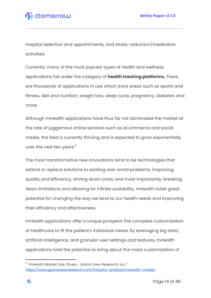hospital selection and appointments, and stress-reduction/meditation activities.

Currently, many of the most popular types of health and wellness applications fall under the category of **health tracking platforms.** There are thousands of applications in use which track areas such as sports and fitness, diet and nutrition, weight loss, sleep cycle, pregnancy, diabetes and more.

Although mHealth applications have thus far not dominated the market at the rate of juggernaut online services such as eCommerce and social media, the field is currently thriving and is expected to grow exponentially over the next ten years. $^{\circ}$ 

The most transformative new innovations tend to be technologies that extend or replace solutions to existing real-world problems, improving quality and efficiency, driving down costs, and most importantly, breaking down limitations and allowing for infinite scalability. mHealth holds great potential for changing the way we tend to our health needs and improving their efficiency and effectiveness.

mHealth applications offer a unique prospect: the complete customization of healthcare to fit the patient's individual needs. By leveraging big data, artificial intelligence, and granular user settings and features, mHealth applications hold the potential to bring about the mass customization of

 $^{\circ}$  "mHealth Market Size, Share - Grand View Research, Inc.." [https://www.grandviewresearch.com/industry-analysis/mhealth-market.](https://www.grandviewresearch.com/industry-analysis/mhealth-market)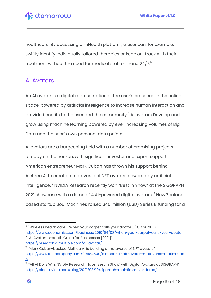healthcare. By accessing a mHealth platform, a user can, for example, swiftly identify individually tailored therapies or keep on-track with their treatment without the need for medical staff on hand 24/7. $^{\mathrm{lo}}$ 

### <span id="page-14-0"></span>AI Avatars

An AI avatar is a digital representation of the user's presence in the online space, powered by artificial intelligence to increase human interaction and provide benefits to the user and the community. $\mathrm{^{\mathrm{n}}}$  AI avatars Develop and grow using machine learning powered by ever increasing volumes of Big Data and the user's own personal data points.

AI avatars are a burgeoning field with a number of promising projects already on the horizon, with significant investor and expert support. American entrepreneur Mark Cuban has thrown his support behind Alethea AI to create a metaverse of NFT avatars powered by artificial intelligence. <sup>12</sup> NVIDIA Research recently won "Best in Show" at the SIGGRAPH 2021 showcase with a demo of 4 AI-powered digital avatars.<sup>13</sup> New Zealand based startup Soul Machines raised \$40 million (USD) Series B funding for a

<https://research.aimultiple.com/ai-avatar/>

 $12$  "Mark Cuban-backed Alethea AI is building a metaverse of NFT avatars"

<sup>11</sup> "AI Avatar: In-depth Guide for Businesses [2021]"  $^{\text{\tiny{10}}}$  "Wireless health care - When your carpet calls your doctor ...." 8 Apr. 2010, <https://www.economist.com/business/2010/04/08/when-your-carpet-calls-your-doctor>.

[https://www.fastcompany.com/90684509/alethea-ai-nft-avatar-metaverse-mark-cuba](https://www.fastcompany.com/90684509/alethea-ai-nft-avatar-metaverse-mark-cuban) [n](https://www.fastcompany.com/90684509/alethea-ai-nft-avatar-metaverse-mark-cuban)

<sup>&</sup>lt;sup>13</sup> "All AI Do Is Win: NVIDIA Research Nabs 'Best in Show' with Digital Avatars at SIGGRAPH" <https://blogs.nvidia.com/blog/2021/08/10/siggraph-real-time-live-demo/>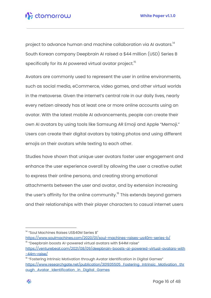project to advance human and machine collaboration via AI avatars.<sup>14</sup> South Korean company Deepbrain AI raised a \$44 million (USD) Series B specifically for its AI powered virtual avatar project. $^{\mathrm{15}}$ 

Avatars are commonly used to represent the user in online environments, such as social media, eCommerce, video games, and other virtual worlds in the metaverse. Given the internet's central role in our daily lives, nearly every netizen already has at least one or more online accounts using an avatar. With the latest mobile AI advancements, people can create their own AI avatars by using tools like Samsung AR Emoji and Apple "Memoji." Users can create their digital avatars by taking photos and using different emojis on their avatars while texting to each other.

Studies have shown that unique user avatars foster user engagement and enhance the user experience overall by allowing the user a creative outlet to express their online persona, and creating strong emotional attachments between the user and avatar, and by extension increasing the user's affinity for the online community. $^{\mathsf{16}}$  This extends beyond gamers and their relationships with their player characters to casual internet users

<sup>&</sup>lt;sup>14</sup> "Soul Machines Raises US\$40M Series B"

<sup>&</sup>lt;sup>15</sup> "Deepbrain boosts Al-powered virtual avatars with \$44M raise" [https://venturebeat.com/2021/08/09/deepbrain-boosts-ai-powered-virtual-avatars-with](https://venturebeat.com/2021/08/09/deepbrain-boosts-ai-powered-virtual-avatars-with-44m-raise/) <https://www.soulmachines.com/2020/01/soul-machines-raises-us40m-series-b/>

[<sup>-44</sup>m-raise/](https://venturebeat.com/2021/08/09/deepbrain-boosts-ai-powered-virtual-avatars-with-44m-raise/)

<sup>&</sup>lt;sup>16</sup> "Fostering Intrinsic Motivation through Avatar Identification in Digital Games" https://www.researchaate.net/publication/301935505\_Fostering\_Intrinsic\_Motivation\_thr ough Avatar Identification in Digital Games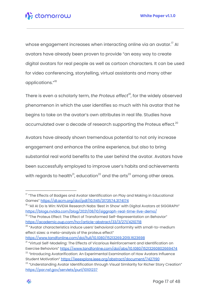whose engagement increases when interacting online via an avatar. $^{\mathrm{17}}$  Al avatars have already been proven to provide "an easy way to create digital avatars for real people as well as cartoon characters. It can be used for video conferencing, storytelling, virtual assistants and many other applications."<sup>18</sup>

There is even a scholarly term, *the Proteus effect 19* , for the widely observed phenomenon in which the user identifies so much with his avatar that he begins to take on the avatar's own attributes in real life. Studies have accumulated over a decade of research supporting the Proteus effect. $^{\mathrm{20}}$ 

Avatars have already shown tremendous potential to not only increase engagement and enhance the online experience, but also to bring substantial real world benefits to the user behind the avatar. Avatars have been successfully employed to improve user's habits and achievements with regards to health $^{21}$ , education $^{22}$  and the arts $^{23}$  among other areas.

<sup>20</sup> "Avatar characteristics induce users' behavioral conformity with small-to-medium effect sizes: a meta-analysis of the proteus effect"

<https://www.tandfonline.com/doi/full/10.1080/15213269.2019.1623698>

<sup>&</sup>lt;sup>17</sup> "The Effects of Badges and Avatar Identification on Play and Making in Educational Games" <https://dl.acm.org/doi/pdf/10.1145/3173574.3174174>

<sup>&</sup>lt;sup>18</sup> "All AI Do Is Win: NVIDIA Research Nabs 'Best in Show' with Digital Avatars at SIGGRAPH" <https://blogs.nvidia.com/blog/2021/08/10/siggraph-real-time-live-demo/>

<sup>&</sup>lt;sup>19</sup> "The Proteus Effect: The Effect of Transformed Self-Representation on Behavior" <https://academic.oup.com/hcr/article-abstract/33/3/271/4210718>

 $22$  "Introducing Avatarification: An Experimental Examination of How Avatars Influence Student Motivation" <https://ieeexplore.ieee.org/abstract/document/7427190> <sup>21</sup> "Virtual Self-Modeling: The Effects of Vicarious Reinforcement and Identification on Exercise Behaviors" <https://www.tandfonline.com/doi/abs/10.1080/15213260802669474>

 $^{\rm 23}$  "Understanding Avatar Identification through Visual Similarity for Richer Story Creation" <https://par.nsf.gov/servlets/purl/10101237>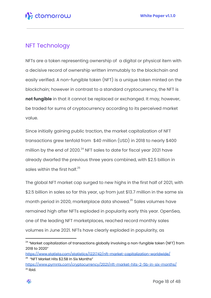### <span id="page-17-0"></span>NFT Technology

NFTs are a token representing ownership of a digital or physical item with a decisive record of ownership written immutably to the blockchain and easily verified. A non-fungible token (NFT) is a unique token minted on the blockchain; however in contrast to a standard cryptocurrency, the NFT is **not fungible** in that it cannot be replaced or exchanged. It may, however, be traded for sums of cryptocurrency according to its perceived market value.

Since initially gaining public traction, the market capitalization of NFT transactions grew tenfold from \$40 million (USD) in 2018 to nearly \$400 million by the end of 2020. $^{24}$  NFT sales to date for fiscal year 2021 have already dwarfed the previous three years combined, with \$2.5 billion in sales within the first half. $^{25}$ 

The global NFT market cap surged to new highs in the first half of 2021, with \$2.5 billion in sales so far this year, up from just \$13.7 million in the same six month period in 2020, marketplace data showed. <sup>26</sup> Sales volumes have remained high after NFTs exploded in popularity early this year. OpenSea, one of the leading NFT marketplaces, reached record monthly sales volumes in June 2021. NFTs have clearly exploded in popularity, as

 $^{24}$  "Market capitalization of transactions globally involving a non-fungible token (NFT) from 2018 to 2020"

 $25$  "NFT Market Hits \$2.5B In Six Months" <https://www.statista.com/statistics/1221742/nft-market-capitalization-worldwide/>

 $26$  Ibid. <https://www.pymnts.com/cryptocurrency/2021/nft-market-hits-2-5b-in-six-months/>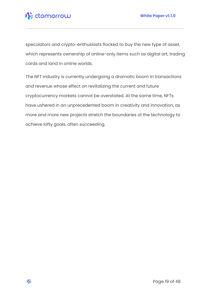

speculators and crypto-enthusiasts flocked to buy the new type of asset, which represents ownership of online-only items such as digital art, trading cards and land in online worlds.

The NFT industry is currently undergoing a dramatic boom in transactions and revenue whose effect on revitalizing the current and future cryptocurrency markets cannot be overstated. At the same time, NFTs have ushered in an unprecedented boom in creativity and innovation, as more and more new projects stretch the boundaries of the technology to achieve lofty goals, often succeeding.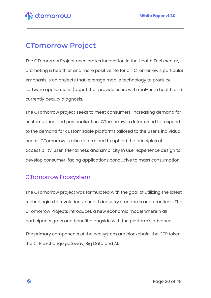# <span id="page-19-0"></span>**CTomorrow Project**

The CTomorrow Project accelerates innovation in the Health Tech sector, promoting a healthier and more positive life for all. CTomorrow's particular emphasis is on projects that leverage mobile technology to produce software applications (apps) that provide users with real-time health and currently beauty diagnosis.

The CTomorrow project seeks to meet consumers' increasing demand for customization and personalization. CTomorrow is determined to respond to the demand for customizable platforms tailored to the user's individual needs. CTomorrow is also determined to uphold the principles of accessibility, user-friendliness and simplicity in user experience design to develop consumer-facing applications conducive to mass consumption.

### <span id="page-19-1"></span>CTomorrow Ecosystem

The CTomorrow project was formulated with the goal of utilizing the latest technologies to revolutionize health industry standards and practices. The CTomorrow Projects introduces a new economic model wherein all participants grow and benefit alongside with the platform's advance.

The primary components of the ecosystem are blockchain, the CTP token, the CTP exchange gateway, Big Data and AI.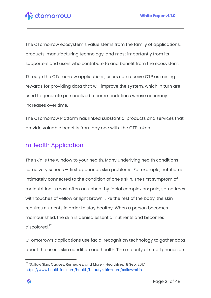The CTomorrow ecosystem's value stems from the family of applications, products, manufacturing technology, and most importantly from its supporters and users who contribute to and benefit from the ecosystem.

Through the CTomorrow applications, users can receive CTP as mining rewards for providing data that will improve the system, which in turn are used to generate personalized recommendations whose accuracy increases over time.

The CTomorrow Platform has linked substantial products and services that provide valuable benefits from day one with the CTP token.

### <span id="page-20-0"></span>mHealth Application

The skin is the window to your health. Many underlying health conditions some very serious — first appear as skin problems. For example, nutrition is intimately connected to the condition of one's skin. The first symptom of malnutrition is most often an unhealthy facial complexion: pale, sometimes with touches of yellow or light brown. Like the rest of the body, the skin requires nutrients in order to stay healthy. When a person becomes malnourished, the skin is denied essential nutrients and becomes discolored.<sup>27</sup>

CTomorrow's applications use facial recognition technology to gather data about the user's skin condition and health. The majority of smartphones on

 $^{27}$  "Sallow Skin: Causes, Remedies, and More - Healthline." 8 Sep. 2017, [https://www.healthline.com/health/beauty-skin-care/sallow-skin.](https://www.healthline.com/health/beauty-skin-care/sallow-skin)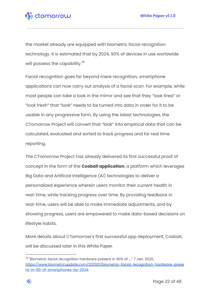the market already are equipped with biometric facial recognition technology. It is estimated that by 2024, 90% of devices in use worldwide will possess the capability. $^{28}$ 

Facial recognition goes far beyond mere recognition; smartphone applications can now carry out analysis of a facial scan. For example, while most people can take a look in the mirror and see that they "look tired" or "look fresh" that "look" needs to be turned into data in order for it to be usable in any progressive form. By using the latest technologies, the CTomorrow Project will convert that "look" into empirical data that can be calculated, evaluated and sorted to track progress and for real time reporting.

The CTomorrow Project has already delivered its first successful proof of concept in the form of the **Cosball application**, a platform which leverages Big Data and Artificial Intelligence (AI) technologies to deliver a personalized experience wherein users monitor their current health in real-time, while tracking progress over time. By providing feedback in real-time, users will be able to make immediate adjustments, and by showing progress, users are empowered to make data-based decisions on lifestyle habits.

More details about CTomorrow's first successful app deployment, Cosball, will be discussed later in this White Paper.

 $^{\rm 28}$  "Biometric facial recognition hardware present in 90% of ...." 7 Jan. 2020, [https://www.biometricupdate.com/202001/biometric-facial-recognition-hardware-prese](https://www.biometricupdate.com/202001/biometric-facial-recognition-hardware-present-in-90-of-smartphones-by-2024) [nt-in-90-of-smartphones-by-2024.](https://www.biometricupdate.com/202001/biometric-facial-recognition-hardware-present-in-90-of-smartphones-by-2024)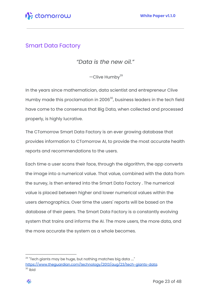

#### <span id="page-22-0"></span>Smart Data Factory

*"Data is the new oil."*

—Clive Humby 29

In the years since mathematician, data scientist and entrepreneur Clive Humby made this proclamation in 2006 30 , business leaders in the tech field have come to the consensus that Big Data, when collected and processed properly, is highly lucrative.

The CTomorrow Smart Data Factory is an ever growing database that provides information to CTomorrow AI, to provide the most accurate health reports and recommendations to the users.

Each time a user scans their face, through the algorithm, the app converts the image into a numerical value. That value, combined with the data from the survey, is then entered into the Smart Data Factory . The numerical value is placed between higher and lower numerical values within the users demographics. Over time the users' reports will be based on the database of their peers. The Smart Data Factory is a constantly evolving system that trains and informs the AI. The more users, the more data, and the more accurate the system as a whole becomes.

<sup>&</sup>lt;sup>30</sup> ibid  $^{29}$  "Tech giants may be huge, but nothing matches big data ...." <https://www.theguardian.com/technology/2013/aug/23/tech-giants-data>.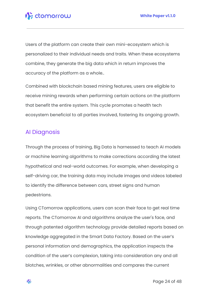

Users of the platform can create their own mini-ecosystem which is personalized to their individual needs and traits. When these ecosystems combine, they generate the big data which in return improves the accuracy of the platform as a whole..

Combined with blockchain based mining features, users are eligible to receive mining rewards when performing certain actions on the platform that benefit the entire system. This cycle promotes a health tech ecosystem beneficial to all parties involved, fostering its ongoing growth.

#### <span id="page-23-0"></span>AI Diagnosis

Through the process of training, Big Data is harnessed to teach AI models or machine learning algorithms to make corrections according the latest hypothetical and real-world outcomes. For example, when developing a self-driving car, the training data may include images and videos labeled to identify the difference between cars, street signs and human pedestrians.

Using CTomorrow applications, users can scan their face to get real time reports. The CTomorrow AI and algorithms analyze the user's face, and through patented algorithm technology provide detailed reports based on knowledge aggregated in the Smart Data Factory. Based on the user's personal information and demographics, the application inspects the condition of the user's complexion, taking into consideration any and all blotches, wrinkles, or other abnormalities and compares the current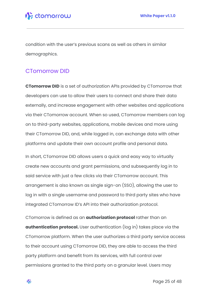

condition with the user's previous scans as well as others in similar demographics.

#### <span id="page-24-0"></span>CTomorrow DID

**CTomorrow DID** is a set of authorization APIs provided by CTomorrow that developers can use to allow their users to connect and share their data externally, and increase engagement with other websites and applications via their CTomorrow account. When so used, CTomorrow members can log on to third-party websites, applications, mobile devices and more using their CTomorrow DID, and, while logged in, can exchange data with other platforms and update their own account profile and personal data.

In short, CTomorrow DID allows users a quick and easy way to virtually create new accounts and grant permissions, and subsequently log in to said service with just a few clicks via their CTomorrow account. This arrangement is also known as single sign-on (SSO), allowing the user to log in with a single username and password to third party sites who have integrated CTomorrow ID's API into their authorization protocol.

CTomorrow is defined as an **authorization protocol** rather than an **authentication protocol.** User authentication (log in) takes place via the CTomorrow platform. When the user authorizes a third party service access to their account using CTomorrow DID, they are able to access the third party platform and benefit from its services, with full control over permissions granted to the third party on a granular level. Users may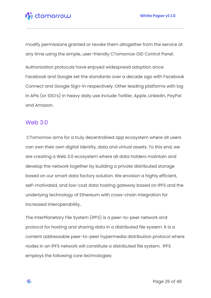modify permissions granted or revoke them altogether from the service at any time using the simple, user-friendly CTomorrow DID Control Panel.

Authorization protocols have enjoyed widespread adoption since Facebook and Google set the standards over a decade ago with Facebook Connect and Google Sign-In respectively. Other leading platforms with log in APIs (or SSO's) in heavy daily use include Twitter, Apple, LinkedIn, PayPal and Amazon.

#### <span id="page-25-0"></span>Web 3.0

CTomorrow aims for a truly decentralized app ecosystem where all users can own their own digital identity, data and virtual assets. To this end, we are creating a Web 3.0 ecosystem where all data holders maintain and develop the network together by building a private distributed storage based on our smart data factory solution. We envision a highly efficient, self-motivated, and low-cost data hosting gateway based on IPFS and the underlying technology of Ethereum with cross-chain integration for increased interoperability..

The InterPlanetary File System (IPFS) is a peer-to-peer network and protocol for hosting and sharing data in a distributed file system. It is a content addressable peer-to-peer hypermedia distribution protocol where nodes in an IPFS network will constitute a distributed file system. IPFS employs the following core technologies: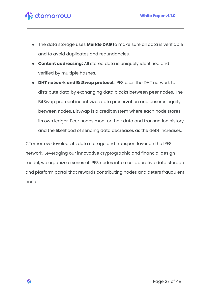

- The data storage uses **Merkle DAG** to make sure all data is verifiable and to avoid duplicates and redundancies.
- **Content addressing:** All stored data is uniquely identified and verified by multiple hashes.
- **DHT network and BitSwap protocol:** IPFS uses the DHT network to distribute data by exchanging data blocks between peer nodes. The BitSwap protocol incentivizes data preservation and ensures equity between nodes. BitSwap is a credit system where each node stores its own ledger. Peer nodes monitor their data and transaction history, and the likelihood of sending data decreases as the debt increases.

CTomorrow develops its data storage and transport layer on the IPFS network. Leveraging our innovative cryptographic and financial design model, we organize a series of IPFS nodes into a collaborative data storage and platform portal that rewards contributing nodes and deters fraudulent ones.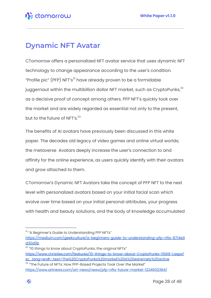# <span id="page-27-0"></span>**Dynamic NFT Avatar**

CTomorrow offers a personalized NFT avatar service that uses dynamic NFT technology to change appearance according to the user's condition. "Profile pic" (PFP) NFT's $^{\text{31}}$  have already proven to be a formidable juggernaut within the multibillion dollar NFT market, such as CryptoPunks, $^{\rm 32}$ as a decisive proof of concept among others. PFP NFT's quickly took over the market and are widely regarded as essential not only to the present, but to the future of NFT's.<sup>33</sup>

The benefits of AI avatars have previously been discussed in this white paper. The decades old legacy of video games and online virtual worlds; the metaverse Avatars deeply increase the user's connection to and affinity for the online experience, as users quickly identify with their avatars and grow attached to them.

CTomorrow's Dynamic NFT Avatars take the concept of PFP NFT to the next level with personalized avatars based on your initial facial scan which evolve over time based on your initial personal attributes, your progress with health and beauty solutions, and the body of knowledge accumulated

 $^{\rm 33}$  "The Future of NFTs: How PFP-Based Projects Took Over the Market"  $32$  "10 things to know about CryptoPunks, the original NFTs" [https://www.christies.com/features/10-things-to-know-about-CryptoPunks-11569-1.aspx?](https://www.christies.com/features/10-things-to-know-about-CryptoPunks-11569-1.aspx?sc_lang=en#:~:text=The%20CryptoPunks%20market%20is%20extremely%20active) [sc\\_lang=en#:~:text=The%20CryptoPunks%20market%20is%20extremely%20active](https://www.christies.com/features/10-things-to-know-about-CryptoPunks-11569-1.aspx?sc_lang=en#:~:text=The%20CryptoPunks%20market%20is%20extremely%20active)

<sup>&</sup>lt;sup>31</sup> "A Beginner's Guide to Understanding PFP NFTs"

[https://medium.com/geekculture/a-beginners-guide-to-understanding-pfp-nfts-8714e9](https://medium.com/geekculture/a-beginners-guide-to-understanding-pfp-nfts-8714e9d30d0b) [d30d0b](https://medium.com/geekculture/a-beginners-guide-to-understanding-pfp-nfts-8714e9d30d0b)

<https://www.artnews.com/art-news/news/pfp-nfts-future-market-1234602384/>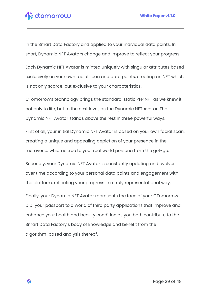in the Smart Data Factory and applied to your individual data points. In short, Dynamic NFT Avatars change and improve to reflect your progress.

Each Dynamic NFT Avatar is minted uniquely with singular attributes based exclusively on your own facial scan and data points, creating an NFT which is not only scarce, but exclusive to your characteristics.

CTomorrow's technology brings the standard, static PFP NFT as we knew it not only to life, but to the next level, as the Dynamic NFT Avatar. The Dynamic NFT Avatar stands above the rest in three powerful ways.

First of all, your initial Dynamic NFT Avatar is based on your own facial scan, creating a unique and appealing depiction of your presence in the metaverse which is true to your real world persona from the get-go.

Secondly, your Dynamic NFT Avatar is constantly updating and evolves over time according to your personal data points and engagement with the platform, reflecting your progress in a truly representational way.

Finally, your Dynamic NFT Avatar represents the face of your CTomorrow DID; your passport to a world of third party applications that improve and enhance your health and beauty condition as you both contribute to the Smart Data Factory's body of knowledge and benefit from the algorithm-based analysis thereof.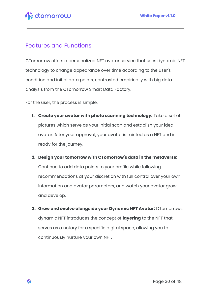

### <span id="page-29-0"></span>Features and Functions

CTomorrow offers a personalized NFT avatar service that uses dynamic NFT technology to change appearance over time according to the user's condition and initial data points, contrasted empirically with big data analysis from the CTomorrow Smart Data Factory.

For the user, the process is simple.

- **1. Create your avatar with photo scanning technology:** Take a set of pictures which serve as your initial scan and establish your ideal avatar. After your approval, your avatar is minted as a NFT and is ready for the journey.
- **2. Design your tomorrow with CTomorrow's data in the metaverse:** Continue to add data points to your profile while following recommendations at your discretion with full control over your own information and avatar parameters, and watch your avatar grow and develop.
- **3. Grow and evolve alongside your Dynamic NFT Avatar:** CTomorrow's dynamic NFT introduces the concept of **layering** to the NFT that serves as a notary for a specific digital space, allowing you to continuously nurture your own NFT.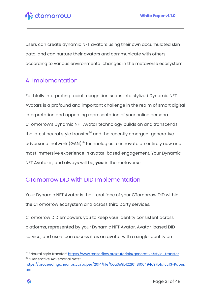

Users can create dynamic NFT avatars using their own accumulated skin data, and can nurture their avatars and communicate with others according to various environmental changes in the metaverse ecosystem.

### <span id="page-30-0"></span>AI Implementation

Faithfully interpreting facial recognition scans into stylized Dynamic NFT Avatars is a profound and important challenge in the realm of smart digital interpretation and appealing representation of your online persona. CTomorrow's Dynamic NFT Avatar technology builds on and transcends the latest neural style transfer $^{\rm 34}$  and the recently emergent generative adversarial network (GAN)<sup>35</sup> technologies to innovate an entirely new and most immersive experience in avatar-based engagement. Your Dynamic NFT Avatar is, and always will be, **you** in the metaverse.

### <span id="page-30-1"></span>CTomorrow DID with DID Implementation

Your Dynamic NFT Avatar is the literal face of your CTomorrow DID within the CTomorrow ecosystem and across third party services.

CTomorrow DID empowers you to keep your identity consistent across platforms, represented by your Dynamic NFT Avatar. Avatar-based DID service, and users can access it as an avatar with a single identity on

<sup>&</sup>lt;sup>35</sup> "Generative Adversarial Nets" <sup>34</sup> "Neural style transfer" <u>[https://www.tensorflow.org/tutorials/generative/style\\_transfer](https://www.tensorflow.org/tutorials/generative/style_transfer)</u>

[https://proceedings.neurips.cc/paper/2014/file/5ca3e9b122f61f8f06494c97b1afccf3-Paper.](https://proceedings.neurips.cc/paper/2014/file/5ca3e9b122f61f8f06494c97b1afccf3-Paper.pdf) [pdf](https://proceedings.neurips.cc/paper/2014/file/5ca3e9b122f61f8f06494c97b1afccf3-Paper.pdf)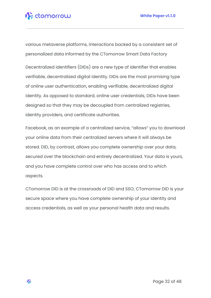various metaverse platforms, interactions backed by a consistent set of personalized data informed by the CTomorrow Smart Data Factory

Decentralized identifiers (DIDs) are a new type of identifier that enables verifiable, decentralized digital identity. DIDs are the most promising type of online user authentication, enabling verifiable, decentralized digital identity. As opposed to standard, online user credentials, DIDs have been designed so that they may be decoupled from centralized registries, identity providers, and certificate authorities.

Facebook, as an example of a centralized service, "allows" you to download your online data from their centralized servers where it will always be stored. DID, by contrast, allows you complete ownership over your data, secured over the blockchain and entirely decentralized. Your data is yours, and you have complete control over who has access and to which aspects.

CTomorrow DID is at the crossroads of DID and SSO; CTomorrow DID is your secure space where you have complete ownership of your identity and access credentials, as well as your personal health data and results.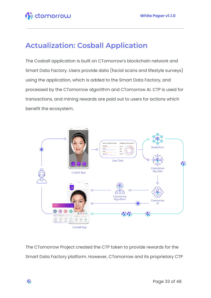# <span id="page-32-0"></span>**Actualization: Cosball Application**

The Cosball application is built on CTomorrow's blockchain network and Smart Data Factory. Users provide data (facial scans and lifestyle surveys) using the application, which is added to the Smart Data Factory, and processed by the CTomorrow algorithm and CTomorrow AI. CTP is used for transactions, and mining rewards are paid out to users for actions which benefit the ecosystem.



The CTomorrow Project created the CTP token to provide rewards for the Smart Data Factory platform. However, CTomorrow and its proprietary CTP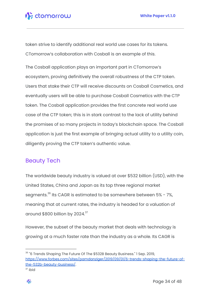token strive to identify additional real world use cases for its tokens. CTomorrow's collaboration with Cosball is an example of this.

The Cosball application plays an important part in CTomorrow's ecosystem, proving definitively the overall robustness of the CTP token. Users that stake their CTP will receive discounts on Cosball Cosmetics, and eventually users will be able to purchase Cosball Cosmetics with the CTP token. The Cosball application provides the first concrete real world use case of the CTP token; this is in stark contrast to the lack of utility behind the promises of so many projects in today's blockchain space. The Cosball application is just the first example of bringing actual utility to a utility coin, diligently proving the CTP token's authentic value.

### <span id="page-33-0"></span>Beauty Tech

The worldwide beauty industry is valued at over \$532 billion (USD), with the United States, China and Japan as its top three regional market segments.<sup>36</sup> Its CAGR is estimated to be somewhere between 5% - 7%, meaning that at current rates, the industry is headed for a valuation of around  $$800$  billion by 2024. $^{37}$ 

However, the subset of the beauty market that deals with technology is growing at a much faster rate than the industry as a whole. Its CAGR is

 $^{\rm 36}$  "6 Trends Shaping The Future Of The \$532B Beauty Business." 1 Sep. 2019, [https://www.forbes.com/sites/pamdanziger/2019/09/01/6-trends-shaping-the-future-of](https://www.forbes.com/sites/pamdanziger/2019/09/01/6-trends-shaping-the-future-of-the-532b-beauty-business/)[the-532b-beauty-business/](https://www.forbes.com/sites/pamdanziger/2019/09/01/6-trends-shaping-the-future-of-the-532b-beauty-business/).

<sup>37</sup> ibid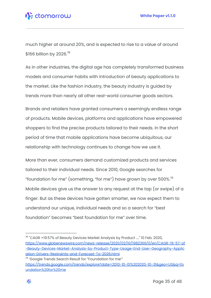

much higher at around 20%, and is expected to rise to a value of around  $$166$  billion by 2026. $^{38}$ 

As in other industries, the digital age has completely transformed business models and consumer habits with introduction of beauty applications to the market. Like the fashion industry, the beauty industry is guided by trends more than nearly all other real-world consumer goods sectors.

Brands and retailers have granted consumers a seemingly endless range of products. Mobile devices, platforms and applications have empowered shoppers to find the precise products tailored to their needs. In the short period of time that mobile applications have become ubiquitous, our relationship with technology continues to change how we use it.

More than ever, consumers demand customized products and services tailored to their individual needs. Since 2010, Google searches for "foundation for me" (something, "for me") have grown by over 500%. $^{\rm 39}$ Mobile devices give us the answer to any request at the tap (or swipe) of a finger. But as these devices have gotten smarter, we now expect them to understand our unique, individual needs and so a search for "best foundation" becomes "best foundation for me" over time.

 $^\mathrm{38}$  "CAGR +19.57% of Beauty Devices Market Analysis by Product ...." 10 Feb. 2020, [https://www.globenewswire.com/news-release/2020/02/10/1982366/0/en/CAGR-19-57-of](https://www.globenewswire.com/news-release/2020/02/10/1982366/0/en/CAGR-19-57-of-Beauty-Devices-Market-Analysis-by-Product-Type-Usage-End-User-Geography-Application-Drivers-Restraints-and-Forecast-To-2026.html) [-Beauty-Devices-Market-Analysis-by-Product-Type-Usage-End-User-Geography-Applic](https://www.globenewswire.com/news-release/2020/02/10/1982366/0/en/CAGR-19-57-of-Beauty-Devices-Market-Analysis-by-Product-Type-Usage-End-User-Geography-Application-Drivers-Restraints-and-Forecast-To-2026.html) [ation-Drivers-Restraints-and-Forecast-To-2026.html.](https://www.globenewswire.com/news-release/2020/02/10/1982366/0/en/CAGR-19-57-of-Beauty-Devices-Market-Analysis-by-Product-Type-Usage-End-User-Geography-Application-Drivers-Restraints-and-Forecast-To-2026.html)

 $^{\rm 39}$  'Google Trends Search Result for "Foundation for me"' [https://trends.google.com/trends/explore?date=2010-10-01%202020-10-31&geo=US&q=fo](https://trends.google.com/trends/explore?date=2010-10-01%202020-10-31&geo=US&q=foundation%20for%20me) [undation%20for%20me](https://trends.google.com/trends/explore?date=2010-10-01%202020-10-31&geo=US&q=foundation%20for%20me)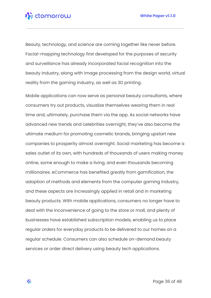

Beauty, technology, and science are coming together like never before. Facial-mapping technology first developed for the purposes of security and surveillance has already incorporated facial recognition into the beauty industry, along with image processing from the design world, virtual reality from the gaming industry, as well as 3D printing.

Mobile applications can now serve as personal beauty consultants, where consumers try out products, visualize themselves wearing them in real time and, ultimately, purchase them via the app. As social networks have advanced new trends and celebrities overnight, they've also become the ultimate medium for promoting cosmetic brands, bringing upstart new companies to prosperity almost overnight. Social marketing has become a sales outlet of its own, with hundreds of thousands of users making money online, some enough to make a living, and even thousands becoming millionaires. eCommerce has benefited greatly from gamification, the adoption of methods and elements from the computer gaming industry, and these aspects are increasingly applied in retail and in marketing beauty products. With mobile applications, consumers no longer have to deal with the inconvenience of going to the store or mall, and plenty of businesses have established subscription models, enabling us to place regular orders for everyday products to be delivered to our homes on a regular schedule. Consumers can also schedule on-demand beauty services or order direct delivery using beauty tech applications.

 $\sum_{i=1}^{n}$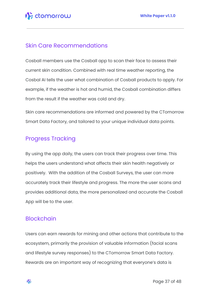### <span id="page-36-0"></span>Skin Care Recommendations

Cosball members use the Cosball app to scan their face to assess their current skin condition. Combined with real time weather reporting, the Cosbal AI tells the user what combination of Cosball products to apply. For example, if the weather is hot and humid, the Cosball combination differs from the result if the weather was cold and dry.

Skin care recommendations are informed and powered by the CTomorrow Smart Data Factory, and tailored to your unique individual data points.

### <span id="page-36-1"></span>Progress Tracking

By using the app daily, the users can track their progress over time. This helps the users understand what affects their skin health negatively or positively. With the addition of the Cosball Surveys, the user can more accurately track their lifestyle and progress. The more the user scans and provides additional data, the more personalized and accurate the Cosball App will be to the user.

### <span id="page-36-2"></span>**Blockchain**

Users can earn rewards for mining and other actions that contribute to the ecosystem, primarily the provision of valuable information (facial scans and lifestyle survey responses) to the CTomorrow Smart Data Factory. Rewards are an important way of recognizing that everyone's data is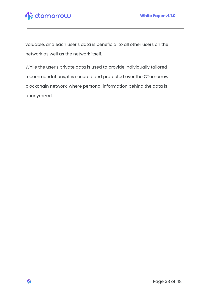

valuable, and each user's data is beneficial to all other users on the network as well as the network itself.

<span id="page-37-0"></span>While the user's private data is used to provide individually tailored recommendations, it is secured and protected over the CTomorrow blockchain network, where personal information behind the data is anonymized.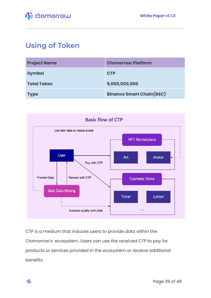

# **Using of Token**

| <b>Project Name</b> | <b>Ctomorrow Platform</b>       |
|---------------------|---------------------------------|
| <b>Symbol</b>       | <b>CTP</b>                      |
| <b>Total Token</b>  | 9,000,000,000                   |
| <b>Type</b>         | <b>Binance Smart Chain(BSC)</b> |



CTP is a medium that induces users to provide data within the Ctomorrow's ecosystem. Users can use the received CTP to pay for products or services provided in the ecosystem or receive additional benefits.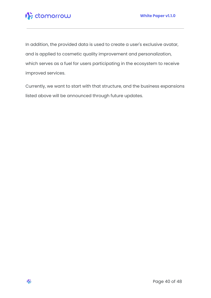

In addition, the provided data is used to create a user's exclusive avatar, and is applied to cosmetic quality improvement and personalization, which serves as a fuel for users participating in the ecosystem to receive improved services.

Currently, we want to start with that structure, and the business expansions listed above will be announced through future updates.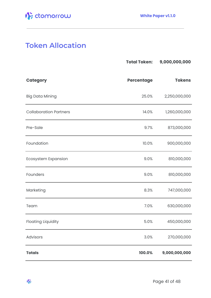# <span id="page-40-0"></span>**Token Allocation**

|                               | <b>Total Token:</b> | 9,000,000,000 |
|-------------------------------|---------------------|---------------|
| <b>Category</b>               | <b>Percentage</b>   | <b>Tokens</b> |
| <b>Big Data Mining</b>        | 25.0%               | 2,250,000,000 |
| <b>Collaboration Partners</b> | 14.0%               | 1,260,000,000 |
| Pre-Sale                      | 9.7%                | 873,000,000   |
| Foundation                    | 10.0%               | 900,000,000   |
| <b>Ecosystem Expansion</b>    | 9.0%                | 810,000,000   |
| Founders                      | 9.0%                | 810,000,000   |
| Marketing                     | 8.3%                | 747,000,000   |
| Team                          | 7.0%                | 630,000,000   |
| <b>Floating Liquidity</b>     | 5.0%                | 450,000,000   |
| Advisors                      | 3.0%                | 270,000,000   |
| <b>Totals</b>                 | 100.0%              | 9,000,000,000 |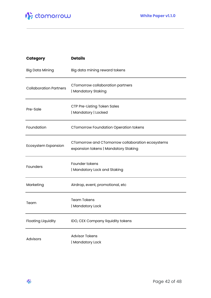

| <b>Category</b>               | <b>Details</b>                                                                           |
|-------------------------------|------------------------------------------------------------------------------------------|
| <b>Big Data Mining</b>        | Big data mining reward tokens                                                            |
| <b>Collaboration Partners</b> | CTomorrow collaboration partners<br>  Mandatory Staking                                  |
| Pre-Sale                      | CTP Pre-Listing Token Sales<br>  Mandatory   Locked                                      |
| Foundation                    | <b>CTomorrow Foundation Operation tokens</b>                                             |
| Ecosystem Expansion           | CTomorrow and CTomorrow collaboration ecosystems<br>expansion tokens   Mandatory Staking |
| Founders                      | Founder tokens<br>  Mandatory Lock and Staking                                           |
| Marketing                     | Airdrop, event, promotional, etc                                                         |
| Team                          | <b>Team Tokens</b><br>  Mandatory Lock                                                   |
| <b>Floating Liquidity</b>     | IDO, CEX Company liquidity tokens                                                        |
| <b>Advisors</b>               | <b>Advisor Tokens</b><br>  Mandatory Lock                                                |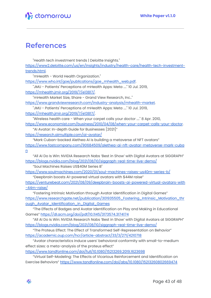

## <span id="page-42-0"></span>**References**

"Health tech investment trends | Deloitte Insights." [https://www2.deloitte.com/us/en/insights/industry/health-care/health-tech-investment](https://www2.deloitte.com/us/en/insights/industry/health-care/health-tech-investment-trends.html)[trends.html.](https://www2.deloitte.com/us/en/insights/industry/health-care/health-tech-investment-trends.html)

"mHealth - World Health Organization."

[https://www.who.int/goe/publications/goe\\_mhealth\\_web.pdf](https://www.who.int/goe/publications/goe_mhealth_web.pdf).

"JMU - Patients' Perceptions of mHealth Apps: Meta ...." 10 Jul. 2019,

[https://mhealth.jmir.org/2019/7/e13817/.](https://mhealth.jmir.org/2019/7/e13817/)

"mHealth Market Size, Share - Grand View Research, Inc.."

[https://www.grandviewresearch.com/industry-analysis/mhealth-market.](https://www.grandviewresearch.com/industry-analysis/mhealth-market)

"JMU - Patients' Perceptions of mHealth Apps: Meta ...." 10 Jul. 2019, [https://mhealth.jmir.org/2019/7/e13817/.](https://mhealth.jmir.org/2019/7/e13817/)

"Wireless health care - When your carpet calls your doctor ...." 8 Apr. 2010,

<https://www.economist.com/business/2010/04/08/when-your-carpet-calls-your-doctor>.

"AI Avatar: In-depth Guide for Businesses [2021]"

<https://research.aimultiple.com/ai-avatar/>

"Mark Cuban-backed Alethea AI is building a metaverse of NFT avatars" [https://www.fastcompany.com/90684509/alethea-ai-nft-avatar-metaverse-mark-cuba](https://www.fastcompany.com/90684509/alethea-ai-nft-avatar-metaverse-mark-cuban) [n](https://www.fastcompany.com/90684509/alethea-ai-nft-avatar-metaverse-mark-cuban)

"All AI Do Is Win: NVIDIA Research Nabs 'Best in Show' with Digital Avatars at SIGGRAPH" <https://blogs.nvidia.com/blog/2021/08/10/siggraph-real-time-live-demo/>

"Soul Machines Raises US\$40M Series B"

<https://www.soulmachines.com/2020/01/soul-machines-raises-us40m-series-b/>

"Deepbrain boosts AI-powered virtual avatars with \$44M raise"

[https://venturebeat.com/2021/08/09/deepbrain-boosts-ai-powered-virtual-avatars-with](https://venturebeat.com/2021/08/09/deepbrain-boosts-ai-powered-virtual-avatars-with-44m-raise/) [-44m-raise/](https://venturebeat.com/2021/08/09/deepbrain-boosts-ai-powered-virtual-avatars-with-44m-raise/)

"Fostering Intrinsic Motivation through Avatar Identification in Digital Games" [https://www.researchgate.net/publication/301935505\\_Fostering\\_Intrinsic\\_Motivation\\_thr](https://www.researchgate.net/publication/301935505_Fostering_Intrinsic_Motivation_through_Avatar_Identification_in_Digital_Games) ough Avatar Identification in Digital Games

"The Effects of Badges and Avatar Identification on Play and Making in Educational Games" <https://dl.acm.org/doi/pdf/10.1145/3173574.3174174>

"All AI Do Is Win: NVIDIA Research Nabs 'Best in Show' with Digital Avatars at SIGGRAPH" <https://blogs.nvidia.com/blog/2021/08/10/siggraph-real-time-live-demo/>

"The Proteus Effect: The Effect of Transformed Self-Representation on Behavior" <https://academic.oup.com/hcr/article-abstract/33/3/271/4210718>

"Avatar characteristics induce users' behavioral conformity with small-to-medium effect sizes: a meta-analysis of the proteus effect"

<https://www.tandfonline.com/doi/full/10.1080/15213269.2019.1623698>

"Virtual Self-Modeling: The Effects of Vicarious Reinforcement and Identification on Exercise Behaviors" <https://www.tandfonline.com/doi/abs/10.1080/15213260802669474>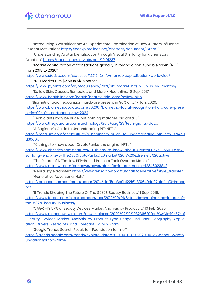I<sup>1</sup>€ ctomorrow

"Introducing Avatarification: An Experimental Examination of How Avatars Influence Student Motivation" <https://ieeexplore.ieee.org/abstract/document/7427190>

"Understanding Avatar Identification through Visual Similarity for Richer Story Creation" <https://par.nsf.gov/servlets/purl/10101237>

"Market capitalization of transactions globally involving a non-fungible token (NFT) from 2018 to 2020"

<https://www.statista.com/statistics/1221742/nft-market-capitalization-worldwide/> "NFT Market Hits \$2.5B In Six Months"

<https://www.pymnts.com/cryptocurrency/2021/nft-market-hits-2-5b-in-six-months/> "Sallow Skin: Causes, Remedies, and More - Healthline." 8 Sep. 2017,

[https://www.healthline.com/health/beauty-skin-care/sallow-skin.](https://www.healthline.com/health/beauty-skin-care/sallow-skin)

"Biometric facial recognition hardware present in 90% of ...." 7 Jan. 2020, [https://www.biometricupdate.com/202001/biometric-facial-recognition-hardware-prese](https://www.biometricupdate.com/202001/biometric-facial-recognition-hardware-present-in-90-of-smartphones-by-2024) [nt-in-90-of-smartphones-by-2024.](https://www.biometricupdate.com/202001/biometric-facial-recognition-hardware-present-in-90-of-smartphones-by-2024)

"Tech giants may be huge, but nothing matches big data ...."

<https://www.theguardian.com/technology/2013/aug/23/tech-giants-data>.

"A Beginner's Guide to Understanding PFP NFTs"

[https://medium.com/geekculture/a-beginners-guide-to-understanding-pfp-nfts-8714e9](https://medium.com/geekculture/a-beginners-guide-to-understanding-pfp-nfts-8714e9d30d0b) [d30d0b](https://medium.com/geekculture/a-beginners-guide-to-understanding-pfp-nfts-8714e9d30d0b)

"10 things to know about CryptoPunks, the original NFTs" [https://www.christies.com/features/10-things-to-know-about-CryptoPunks-11569-1.aspx?](https://www.christies.com/features/10-things-to-know-about-CryptoPunks-11569-1.aspx?sc_lang=en#:~:text=The%20CryptoPunks%20market%20is%20extremely%20active) [sc\\_lang=en#:~:text=The%20CryptoPunks%20market%20is%20extremely%20active](https://www.christies.com/features/10-things-to-know-about-CryptoPunks-11569-1.aspx?sc_lang=en#:~:text=The%20CryptoPunks%20market%20is%20extremely%20active)

"The Future of NFTs: How PFP-Based Projects Took Over the Market"

<https://www.artnews.com/art-news/news/pfp-nfts-future-market-1234602384/>

"Neural style transfer" [https://www.tensorflow.org/tutorials/generative/style\\_transfer](https://www.tensorflow.org/tutorials/generative/style_transfer) "Generative Adversarial Nets"

[https://proceedings.neurips.cc/paper/2014/file/5ca3e9b122f61f8f06494c97b1afccf3-Paper.](https://proceedings.neurips.cc/paper/2014/file/5ca3e9b122f61f8f06494c97b1afccf3-Paper.pdf) [pdf](https://proceedings.neurips.cc/paper/2014/file/5ca3e9b122f61f8f06494c97b1afccf3-Paper.pdf)

"6 Trends Shaping The Future Of The \$532B Beauty Business." 1 Sep. 2019, [https://www.forbes.com/sites/pamdanziger/2019/09/01/6-trends-shaping-the-future-of](https://www.forbes.com/sites/pamdanziger/2019/09/01/6-trends-shaping-the-future-of-the-532b-beauty-business/)[the-532b-beauty-business/](https://www.forbes.com/sites/pamdanziger/2019/09/01/6-trends-shaping-the-future-of-the-532b-beauty-business/).

"CAGR +19.57% of Beauty Devices Market Analysis by Product ...." 10 Feb. 2020, [https://www.globenewswire.com/news-release/2020/02/10/1982366/0/en/CAGR-19-57-of](https://www.globenewswire.com/news-release/2020/02/10/1982366/0/en/CAGR-19-57-of-Beauty-Devices-Market-Analysis-by-Product-Type-Usage-End-User-Geography-Application-Drivers-Restraints-and-Forecast-To-2026.html) [-Beauty-Devices-Market-Analysis-by-Product-Type-Usage-End-User-Geography-Applic](https://www.globenewswire.com/news-release/2020/02/10/1982366/0/en/CAGR-19-57-of-Beauty-Devices-Market-Analysis-by-Product-Type-Usage-End-User-Geography-Application-Drivers-Restraints-and-Forecast-To-2026.html) [ation-Drivers-Restraints-and-Forecast-To-2026.html.](https://www.globenewswire.com/news-release/2020/02/10/1982366/0/en/CAGR-19-57-of-Beauty-Devices-Market-Analysis-by-Product-Type-Usage-End-User-Geography-Application-Drivers-Restraints-and-Forecast-To-2026.html)

'Google Trends Search Result for "Foundation for me"' [https://trends.google.com/trends/explore?date=2010-10-01%202020-10-31&geo=US&q=fo](https://trends.google.com/trends/explore?date=2010-10-01%202020-10-31&geo=US&q=foundation%20for%20me) [undation%20for%20me](https://trends.google.com/trends/explore?date=2010-10-01%202020-10-31&geo=US&q=foundation%20for%20me)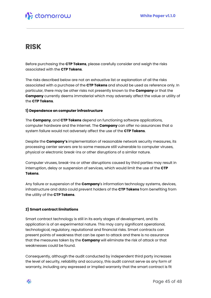

## **RISK**

Before purchasing the **CTP Tokens**, please carefully consider and weigh the risks associated with the **CTP Tokens**.

The risks described below are not an exhaustive list or explanation of all the risks associated with a purchase of the **CTP Tokens** and should be used as reference only. In particular, there may be other risks not presently known to the **Company** or that the **Company** currently deems immaterial which may adversely affect the value or utility of the **CTP Tokens**.

#### **1) Dependence on computer infrastructure**

The **Company**, and **CTP Tokens** depend on functioning software applications, computer hardware and the Internet. The **Company** can offer no assurances that a system failure would not adversely affect the use of the **CTP Tokens**.

Despite the **Company's** implementation of reasonable network security measures, its processing center servers are to some measure still vulnerable to computer viruses, physical or electronic break-ins or other disruptions of a similar nature.

Computer viruses, break-ins or other disruptions caused by third parties may result in interruption, delay or suspension of services, which would limit the use of the **CTP Tokens**.

Any failure or suspension of the **Company**'s information technology systems, devices, infrastructure and data could prevent holders of the **CTP Tokens** from benefiting from the utility of the **CTP Tokens**.

#### **2) Smart contract limitations**

Smart contract technology is still in its early stages of development, and its application is of an experimental nature. This may carry significant operational, technological, regulatory, reputational and financial risks. Smart contracts can present points of weakness that can be open to attack and there is no assurance that the measures taken by the **Company** will eliminate the risk of attack or that weaknesses could be found.

Consequently, although the audit conducted by independent third party increases the level of security, reliability and accuracy, this audit cannot serve as any form of warranty, including any expressed or implied warranty that the smart contract is fit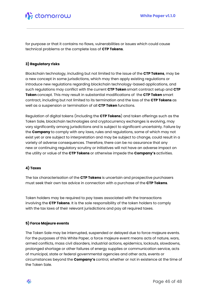

for purpose or that it contains no flaws, vulnerabilities or issues which could cause technical problems or the complete loss of **CTP Tokens**.

#### **3) Regulatory risks**

Blockchain technology, including but not limited to the issue of the **CTP Tokens**, may be a new concept in some jurisdictions, which may then apply existing regulations or introduce new regulations regarding blockchain technology-based applications, and such regulations may conflict with the current **CTP Token** smart contract setup and **CTP Token** concept. This may result in substantial modifications of the **CTP Token** smart contract, including but not limited to its termination and the loss of the **CTP Tokens** as well as a suspension or termination of all **CTP Token** functions.

Regulation of digital tokens (including the **CTP Tokens**) and token offerings such as the Token Sale, blockchain technologies and cryptocurrency exchanges is evolving, may vary significantly among jurisdictions and is subject to significant uncertainty. Failure by the **Company** to comply with any laws, rules and regulations, some of which may not exist yet or are subject to interpretation and may be subject to change, could result in a variety of adverse consequences. Therefore, there can be no assurance that any new or continuing regulatory scrutiny or initiatives will not have an adverse impact on the utility or value of the **CTP Tokens** or otherwise impede the **Company's** activities.

#### **4) Taxes**

The tax characterisation of the **CTP Tokens** is uncertain and prospective purchasers must seek their own tax advice in connection with a purchase of the **CTP Tokens**.

Token holders may be required to pay taxes associated with the transactions involving the **CTP Tokens**. It is the sole responsibility of the token holders to comply with the tax laws of their relevant jurisdictions and pay all required taxes.

#### **5) Force Majeure events**

The Token Sale may be interrupted, suspended or delayed due to force majeure events. For the purposes of this White Paper, a force majeure event means acts of nature, wars, armed conflicts, mass civil disorders, industrial actions, epidemics, lockouts, slowdowns, prolonged shortage or other failures of energy supplies or communication service, acts of municipal, state or federal governmental agencies and other acts, events or circumstances beyond the **Company's** control, whether or not in existence at the time of the Token Sale.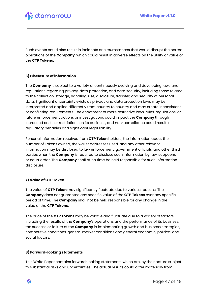

Such events could also result in incidents or circumstances that would disrupt the normal operations of the **Company**, which could result in adverse effects on the utility or value of the **CTP Tokens.**

#### **6) Disclosure of information**

The **Company** is subject to a variety of continuously evolving and developing laws and regulations regarding privacy, data protection, and data security, including those related to the collection, storage, handling, use, disclosure, transfer, and security of personal data. Significant uncertainty exists as privacy and data protection laws may be interpreted and applied differently from country to country and may create inconsistent or conflicting requirements. The enactment of more restrictive laws, rules, regulations, or future enforcement actions or investigations could impact the **Company** through increased costs or restrictions on its business, and non-compliance could result in regulatory penalties and significant legal liability.

Personal information received from **CTP Token** holders, the information about the number of Tokens owned, the wallet addresses used, and any other relevant information may be disclosed to law enforcement, government officials, and other third parties when the **Company** is required to disclose such information by law, subpoena, or court order. The **Company** shall at no time be held responsible for such information disclosure.

#### **7) Value of CTP Token**

The value of **CTP Token** may significantly fluctuate due to various reasons. The **Company** does not guarantee any specific value of the **CTP Tokens** over any specific period of time. The **Company** shall not be held responsible for any change in the value of the **CTP Tokens**.

The price of the **CTP Tokens** may be volatile and fluctuate due to a variety of factors, including the results of the **Company**'s operations and the performance of its business, the success or failure of the **Company** in implementing growth and business strategies, competitive conditions, general market conditions and general economic, political and social factors.

#### **8) Forward-looking statements**

This White Paper contains forward-looking statements which are, by their nature subject to substantial risks and uncertainties. The actual results could differ materially from